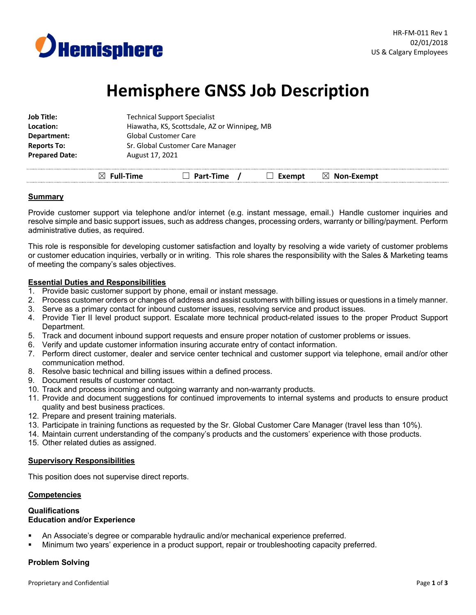

# **Hemisphere GNSS Job Description**

| <b>Job Title:</b>     | <b>Technical Support Specialist</b>          |
|-----------------------|----------------------------------------------|
| Location:             | Hiawatha, KS, Scottsdale, AZ or Winnipeg, MB |
| Department:           | <b>Global Customer Care</b>                  |
| <b>Reports To:</b>    | Sr. Global Customer Care Manager             |
| <b>Prepared Date:</b> | August 17, 2021                              |
|                       |                                              |

☒ **Full-Time** ☐ **Part-Time /** ☐ **Exempt** ☒ **Non-Exempt**

# **Summary**

Provide customer support via telephone and/or internet (e.g. instant message, email.) Handle customer inquiries and resolve simple and basic support issues, such as address changes, processing orders, warranty or billing/payment. Perform administrative duties, as required.

This role is responsible for developing customer satisfaction and loyalty by resolving a wide variety of customer problems or customer education inquiries, verbally or in writing. This role shares the responsibility with the Sales & Marketing teams of meeting the company's sales objectives.

# **Essential Duties and Responsibilities**

- 1. Provide basic customer support by phone, email or instant message.
- 2. Process customer orders or changes of address and assist customers with billing issues or questions in a timely manner.
- 3. Serve as a primary contact for inbound customer issues, resolving service and product issues.
- 4. Provide Tier II level product support. Escalate more technical product-related issues to the proper Product Support Department.
- 5. Track and document inbound support requests and ensure proper notation of customer problems or issues.
- 6. Verify and update customer information insuring accurate entry of contact information.
- 7. Perform direct customer, dealer and service center technical and customer support via telephone, email and/or other communication method.
- 8. Resolve basic technical and billing issues within a defined process.
- 9. Document results of customer contact.
- 10. Track and process incoming and outgoing warranty and non-warranty products.
- 11. Provide and document suggestions for continued improvements to internal systems and products to ensure product quality and best business practices.
- 12. Prepare and present training materials.
- 13. Participate in training functions as requested by the Sr. Global Customer Care Manager (travel less than 10%).
- 14. Maintain current understanding of the company's products and the customers' experience with those products.
- 15. Other related duties as assigned.

# **Supervisory Responsibilities**

This position does not supervise direct reports.

# **Competencies**

#### **Qualifications Education and/or Experience**

- An Associate's degree or comparable hydraulic and/or mechanical experience preferred.
- § Minimum two years' experience in a product support, repair or troubleshooting capacity preferred.

# **Problem Solving**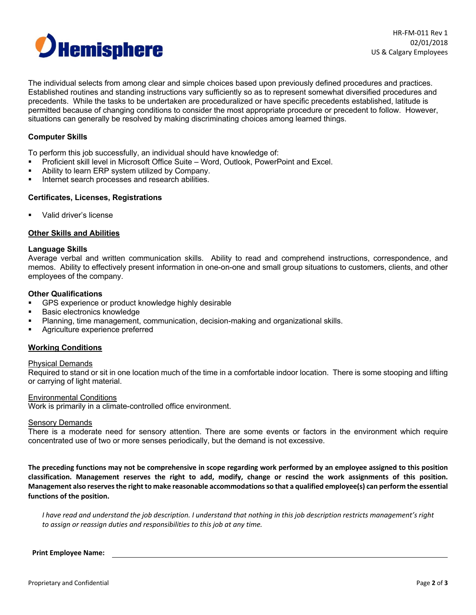

The individual selects from among clear and simple choices based upon previously defined procedures and practices. Established routines and standing instructions vary sufficiently so as to represent somewhat diversified procedures and precedents. While the tasks to be undertaken are proceduralized or have specific precedents established, latitude is permitted because of changing conditions to consider the most appropriate procedure or precedent to follow. However, situations can generally be resolved by making discriminating choices among learned things.

## **Computer Skills**

To perform this job successfully, an individual should have knowledge of:

- § Proficient skill level in Microsoft Office Suite Word, Outlook, PowerPoint and Excel.
- Ability to learn ERP system utilized by Company.
- Internet search processes and research abilities.

### **Certificates, Licenses, Registrations**

§ Valid driver's license

### **Other Skills and Abilities**

#### **Language Skills**

Average verbal and written communication skills. Ability to read and comprehend instructions, correspondence, and memos. Ability to effectively present information in one-on-one and small group situations to customers, clients, and other employees of the company.

#### **Other Qualifications**

- GPS experience or product knowledge highly desirable
- § Basic electronics knowledge
- § Planning, time management, communication, decision-making and organizational skills.
- § Agriculture experience preferred

## **Working Conditions**

#### Physical Demands

Required to stand or sit in one location much of the time in a comfortable indoor location. There is some stooping and lifting or carrying of light material.

### Environmental Conditions

Work is primarily in a climate-controlled office environment.

## **Sensory Demands**

There is a moderate need for sensory attention. There are some events or factors in the environment which require concentrated use of two or more senses periodically, but the demand is not excessive.

**The preceding functions may not be comprehensive in scope regarding work performed by an employee assigned to this position classification. Management reserves the right to add, modify, change or rescind the work assignments of this position. Management also reserves the right to make reasonable accommodations so that a qualified employee(s) can perform the essential functions of the position.**

*I have read and understand the job description. I understand that nothing in this job description restricts management's right to assign or reassign duties and responsibilities to this job at any time.* 

#### **Print Employee Name:**